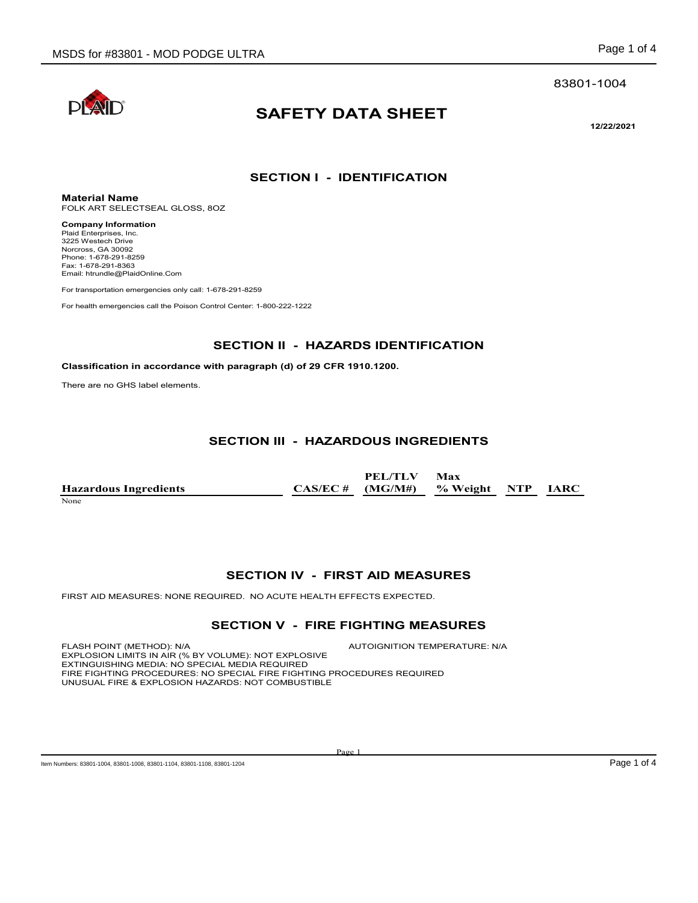#### 83801-1004



# **SAFETY DATA SHEET**

**12/22/2021**

### **SECTION I - IDENTIFICATION**

**Material Name** FOLK ART SELECTSEAL GLOSS, 8OZ

**Company Information** Plaid Enterprises, Inc. 3225 Westech Drive Norcross, GA 30092 Phone: 1-678-291-8259 Fax: 1-678-291-8363 Email: htrundle@PlaidOnline.Com

For transportation emergencies only call: 1-678-291-8259

For health emergencies call the Poison Control Center: 1-800-222-1222

#### **SECTION II - HAZARDS IDENTIFICATION**

#### **Classification in accordance with paragraph (d) of 29 CFR 1910.1200.**

There are no GHS label elements.

### **SECTION III - HAZARDOUS INGREDIENTS**

|                              | PEL/TLV Max                           |  |  |
|------------------------------|---------------------------------------|--|--|
| <b>Hazardous Ingredients</b> | $CAS/EC \#$ (MG/M#) % Weight NTP IARC |  |  |
|                              |                                       |  |  |

None

### **SECTION IV - FIRST AID MEASURES**

FIRST AID MEASURES: NONE REQUIRED. NO ACUTE HEALTH EFFECTS EXPECTED.

#### **SECTION V - FIRE FIGHTING MEASURES**

FLASH POINT (METHOD): N/A  $\blacksquare$  AUTOIGNITION TEMPERATURE: N/A EXPLOSION LIMITS IN AIR (% BY VOLUME): NOT EXPLOSIVE EXTINGUISHING MEDIA: NO SPECIAL MEDIA REQUIRED FIRE FIGHTING PROCEDURES: NO SPECIAL FIRE FIGHTING PROCEDURES REQUIRED UNUSUAL FIRE & EXPLOSION HAZARDS: NOT COMBUSTIBLE

Page 1

Item Numbers: 83801-1004, 83801-1008, 83801-1104, 83801-1108, 83801-1204 Page 1 of 4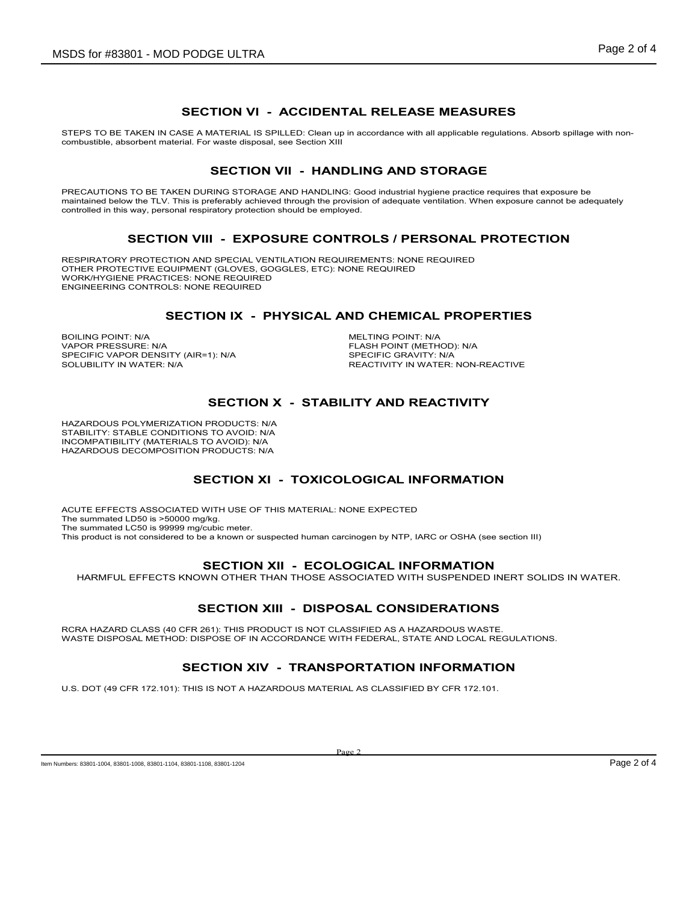### **SECTION VI - ACCIDENTAL RELEASE MEASURES**

STEPS TO BE TAKEN IN CASE A MATERIAL IS SPILLED: Clean up in accordance with all applicable regulations. Absorb spillage with noncombustible, absorbent material. For waste disposal, see Section XIII

### **SECTION VII - HANDLING AND STORAGE**

PRECAUTIONS TO BE TAKEN DURING STORAGE AND HANDLING: Good industrial hygiene practice requires that exposure be maintained below the TLV. This is preferably achieved through the provision of adequate ventilation. When exposure cannot be adequately controlled in this way, personal respiratory protection should be employed.

### **SECTION VIII - EXPOSURE CONTROLS / PERSONAL PROTECTION**

RESPIRATORY PROTECTION AND SPECIAL VENTILATION REQUIREMENTS: NONE REQUIRED OTHER PROTECTIVE EQUIPMENT (GLOVES, GOGGLES, ETC): NONE REQUIRED WORK/HYGIENE PRACTICES: NONE REQUIRED ENGINEERING CONTROLS: NONE REQUIRED

### **SECTION IX - PHYSICAL AND CHEMICAL PROPERTIES**

BOILING POINT: N/A<br>
VAPOR PRESSURE: N/A<br>
VAPOR PRESSURE: N/A SPECIFIC VAPOR DENSITY (AIR=1): N/A<br>SOLUBILITY IN WATER: N/A

FLASH POINT (METHOD): N/A<br>SPECIFIC GRAVITY: N/A REACTIVITY IN WATER: NON-REACTIVE

## **SECTION X - STABILITY AND REACTIVITY**

HAZARDOUS POLYMERIZATION PRODUCTS: N/A STABILITY: STABLE CONDITIONS TO AVOID: N/A INCOMPATIBILITY (MATERIALS TO AVOID): N/A HAZARDOUS DECOMPOSITION PRODUCTS: N/A

## **SECTION XI - TOXICOLOGICAL INFORMATION**

ACUTE EFFECTS ASSOCIATED WITH USE OF THIS MATERIAL: NONE EXPECTED The summated LD50 is >50000 mg/kg. The summated LC50 is 99999 mg/cubic meter. This product is not considered to be a known or suspected human carcinogen by NTP, IARC or OSHA (see section III)

### **SECTION XII - ECOLOGICAL INFORMATION**

HARMFUL EFFECTS KNOWN OTHER THAN THOSE ASSOCIATED WITH SUSPENDED INERT SOLIDS IN WATER.

## **SECTION XIII - DISPOSAL CONSIDERATIONS**

RCRA HAZARD CLASS (40 CFR 261): THIS PRODUCT IS NOT CLASSIFIED AS A HAZARDOUS WASTE. WASTE DISPOSAL METHOD: DISPOSE OF IN ACCORDANCE WITH FEDERAL, STATE AND LOCAL REGULATIONS.

## **SECTION XIV - TRANSPORTATION INFORMATION**

U.S. DOT (49 CFR 172.101): THIS IS NOT A HAZARDOUS MATERIAL AS CLASSIFIED BY CFR 172.101.

Page 2

Item Numbers: 83801-1004, 83801-11008, 83801-1104, 83801-1108, 83801-1204 Page 2 of 4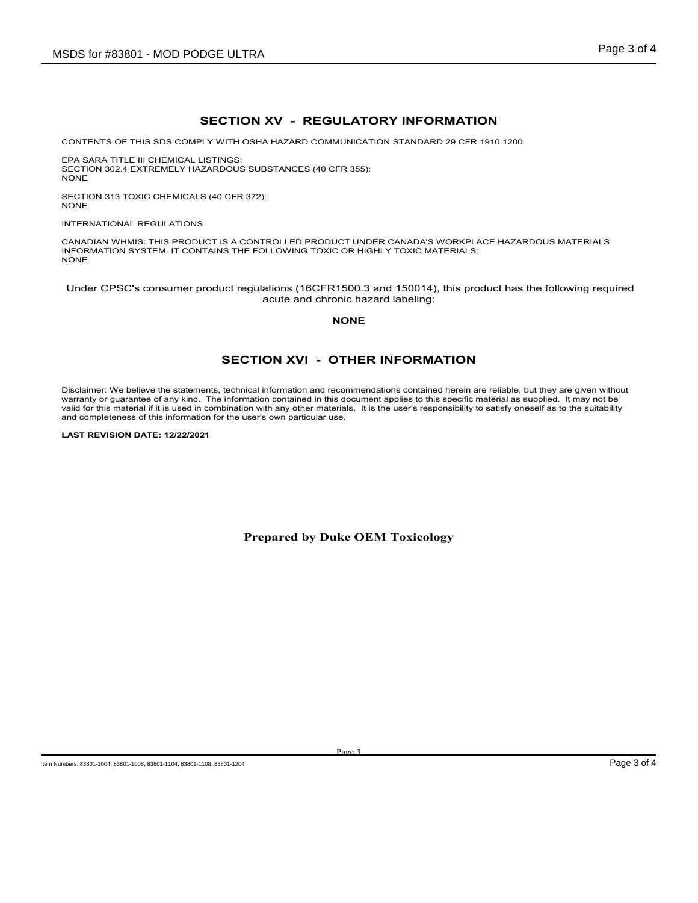### **SECTION XV - REGULATORY INFORMATION**

CONTENTS OF THIS SDS COMPLY WITH OSHA HAZARD COMMUNICATION STANDARD 29 CFR 1910.1200

EPA SARA TITLE III CHEMICAL LISTINGS: SECTION 302.4 EXTREMELY HAZARDOUS SUBSTANCES (40 CFR 355): NONE

SECTION 313 TOXIC CHEMICALS (40 CFR 372): NONE

INTERNATIONAL REGULATIONS

CANADIAN WHMIS: THIS PRODUCT IS A CONTROLLED PRODUCT UNDER CANADA'S WORKPLACE HAZARDOUS MATERIALS INFORMATION SYSTEM. IT CONTAINS THE FOLLOWING TOXIC OR HIGHLY TOXIC MATERIALS: NONE

Under CPSC's consumer product regulations (16CFR1500.3 and 150014), this product has the following required acute and chronic hazard labeling:

**NONE**

#### **SECTION XVI - OTHER INFORMATION**

Disclaimer: We believe the statements, technical information and recommendations contained herein are reliable, but they are given without warranty or guarantee of any kind. The information contained in this document applies to this specific material as supplied. It may not be valid for this material if it is used in combination with any other materials. It is the user's responsibility to satisfy oneself as to the suitability and completeness of this information for the user's own particular use.

**LAST REVISION DATE: 12/22/2021**

**Prepared by Duke OEM Toxicology**